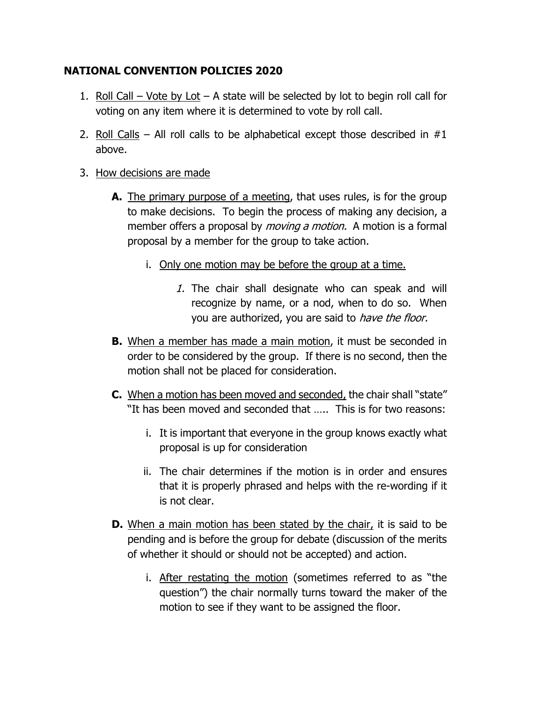# **NATIONAL CONVENTION POLICIES 2020**

- 1. Roll Call Vote by Lot A state will be selected by lot to begin roll call for voting on any item where it is determined to vote by roll call.
- 2. Roll Calls All roll calls to be alphabetical except those described in  $#1$ above.
- 3. How decisions are made
	- **A.** The primary purpose of a meeting, that uses rules, is for the group to make decisions. To begin the process of making any decision, a member offers a proposal by *moving a motion*. A motion is a formal proposal by a member for the group to take action.
		- i. Only one motion may be before the group at a time.
			- 1. The chair shall designate who can speak and will recognize by name, or a nod, when to do so. When you are authorized, you are said to have the floor.
	- **B.** When a member has made a main motion, it must be seconded in order to be considered by the group. If there is no second, then the motion shall not be placed for consideration.
	- **C.** When a motion has been moved and seconded, the chair shall "state" "It has been moved and seconded that ….. This is for two reasons:
		- i. It is important that everyone in the group knows exactly what proposal is up for consideration
		- ii. The chair determines if the motion is in order and ensures that it is properly phrased and helps with the re-wording if it is not clear.
	- **D.** When a main motion has been stated by the chair, it is said to be pending and is before the group for debate (discussion of the merits of whether it should or should not be accepted) and action.
		- i. After restating the motion (sometimes referred to as "the question") the chair normally turns toward the maker of the motion to see if they want to be assigned the floor.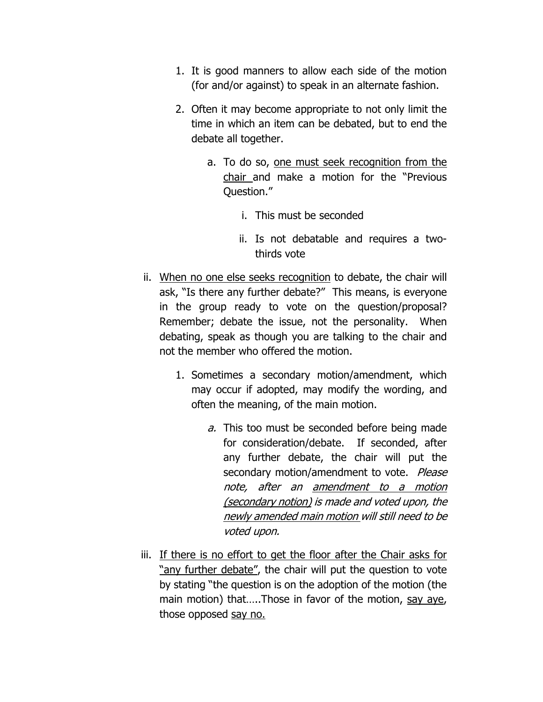- 1. It is good manners to allow each side of the motion (for and/or against) to speak in an alternate fashion.
- 2. Often it may become appropriate to not only limit the time in which an item can be debated, but to end the debate all together.
	- a. To do so, one must seek recognition from the chair and make a motion for the "Previous Question."
		- i. This must be seconded
		- ii. Is not debatable and requires a twothirds vote
- ii. When no one else seeks recognition to debate, the chair will ask, "Is there any further debate?" This means, is everyone in the group ready to vote on the question/proposal? Remember; debate the issue, not the personality. When debating, speak as though you are talking to the chair and not the member who offered the motion.
	- 1. Sometimes a secondary motion/amendment, which may occur if adopted, may modify the wording, and often the meaning, of the main motion.
		- a. This too must be seconded before being made for consideration/debate. If seconded, after any further debate, the chair will put the secondary motion/amendment to vote. Please note, after an amendment to a motion (secondary notion) is made and voted upon, the newly amended main motion will still need to be voted upon.
- iii. If there is no effort to get the floor after the Chair asks for "any further debate", the chair will put the question to vote by stating "the question is on the adoption of the motion (the main motion) that.....Those in favor of the motion, say aye, those opposed say no.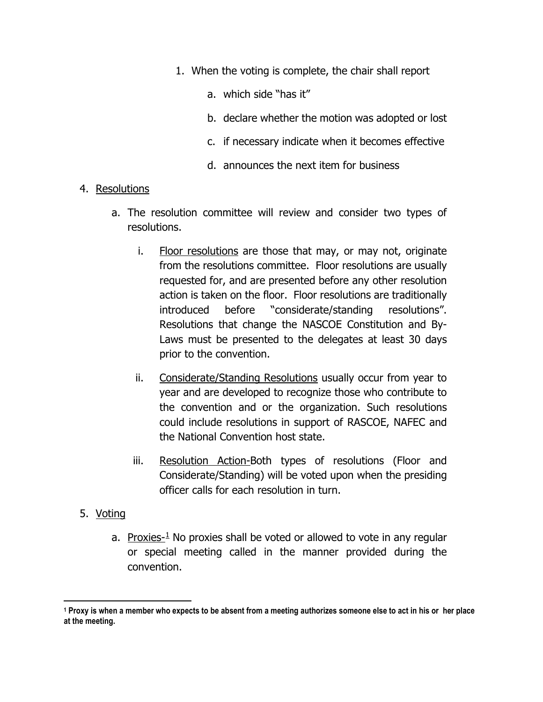- 1. When the voting is complete, the chair shall report
	- a. which side "has it"
	- b. declare whether the motion was adopted or lost
	- c. if necessary indicate when it becomes effective
	- d. announces the next item for business

### 4. Resolutions

- a. The resolution committee will review and consider two types of resolutions.
	- i. Floor resolutions are those that may, or may not, originate from the resolutions committee. Floor resolutions are usually requested for, and are presented before any other resolution action is taken on the floor. Floor resolutions are traditionally introduced before "considerate/standing resolutions". Resolutions that change the NASCOE Constitution and By-Laws must be presented to the delegates at least 30 days prior to the convention.
	- ii. Considerate/Standing Resolutions usually occur from year to year and are developed to recognize those who contribute to the convention and or the organization. Such resolutions could include resolutions in support of RASCOE, NAFEC and the National Convention host state.
	- iii. Resolution Action-Both types of resolutions (Floor and Considerate/Standing) will be voted upon when the presiding officer calls for each resolution in turn.

## 5. Voting

a. Proxies- $\frac{1}{2}$  $\frac{1}{2}$  $\frac{1}{2}$  No proxies shall be voted or allowed to vote in any regular or special meeting called in the manner provided during the convention.

<span id="page-2-0"></span>**<sup>1</sup> Proxy is when a member who expects to be absent from a meeting authorizes someone else to act in his or her place at the meeting.**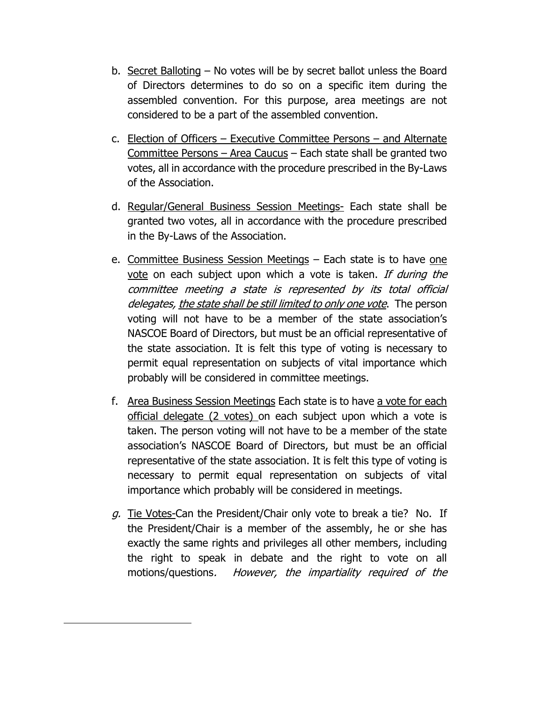- b. Secret Balloting No votes will be by secret ballot unless the Board of Directors determines to do so on a specific item during the assembled convention. For this purpose, area meetings are not considered to be a part of the assembled convention.
- c. Election of Officers Executive Committee Persons and Alternate Committee Persons – Area Caucus – Each state shall be granted two votes, all in accordance with the procedure prescribed in the By-Laws of the Association.
- d. Regular/General Business Session Meetings- Each state shall be granted two votes, all in accordance with the procedure prescribed in the By-Laws of the Association.
- e. Committee Business Session Meetings Each state is to have one vote on each subject upon which a vote is taken. If during the committee meeting a state is represented by its total official delegates, the state shall be still limited to only one vote. The person voting will not have to be a member of the state association's NASCOE Board of Directors, but must be an official representative of the state association. It is felt this type of voting is necessary to permit equal representation on subjects of vital importance which probably will be considered in committee meetings.
- f. Area Business Session Meetings Each state is to have a vote for each official delegate (2 votes) on each subject upon which a vote is taken. The person voting will not have to be a member of the state association's NASCOE Board of Directors, but must be an official representative of the state association. It is felt this type of voting is necessary to permit equal representation on subjects of vital importance which probably will be considered in meetings.
- g. Tie Votes-Can the President/Chair only vote to break a tie? No. If the President/Chair is a member of the assembly, he or she has exactly the same rights and privileges all other members, including the right to speak in debate and the right to vote on all motions/questions. However, the impartiality required of the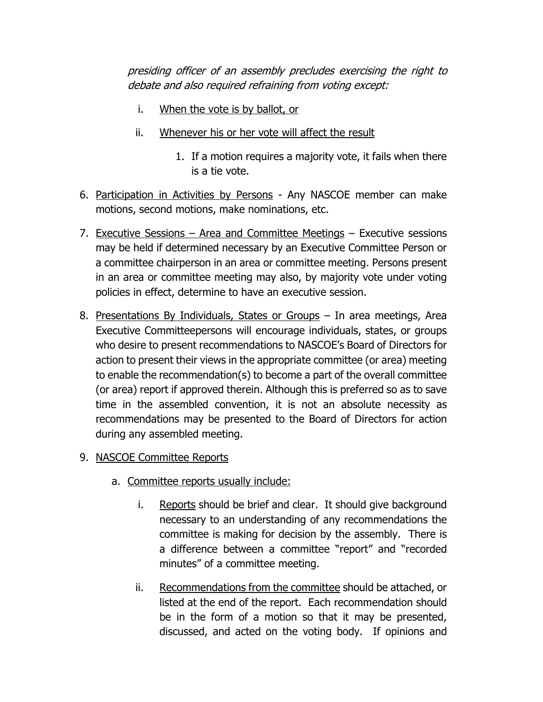presiding officer of an assembly precludes exercising the right to debate and also required refraining from voting except:

- i. When the vote is by ballot, or
- ii. Whenever his or her vote will affect the result
	- 1. If a motion requires a majority vote, it fails when there is a tie vote.
- 6. Participation in Activities by Persons Any NASCOE member can make motions, second motions, make nominations, etc.
- 7. Executive Sessions Area and Committee Meetings Executive sessions may be held if determined necessary by an Executive Committee Person or a committee chairperson in an area or committee meeting. Persons present in an area or committee meeting may also, by majority vote under voting policies in effect, determine to have an executive session.
- 8. Presentations By Individuals, States or Groups In area meetings, Area Executive Committeepersons will encourage individuals, states, or groups who desire to present recommendations to NASCOE's Board of Directors for action to present their views in the appropriate committee (or area) meeting to enable the recommendation(s) to become a part of the overall committee (or area) report if approved therein. Although this is preferred so as to save time in the assembled convention, it is not an absolute necessity as recommendations may be presented to the Board of Directors for action during any assembled meeting.
- 9. NASCOE Committee Reports
	- a. Committee reports usually include:
		- i. Reports should be brief and clear. It should give background necessary to an understanding of any recommendations the committee is making for decision by the assembly. There is a difference between a committee "report" and "recorded minutes" of a committee meeting.
		- ii. Recommendations from the committee should be attached, or listed at the end of the report. Each recommendation should be in the form of a motion so that it may be presented, discussed, and acted on the voting body. If opinions and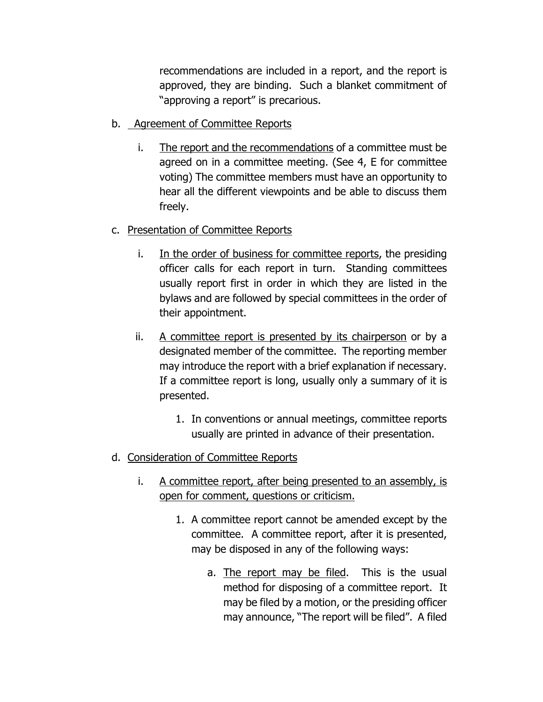recommendations are included in a report, and the report is approved, they are binding. Such a blanket commitment of "approving a report" is precarious.

- b. Agreement of Committee Reports
	- i. The report and the recommendations of a committee must be agreed on in a committee meeting. (See 4, E for committee voting) The committee members must have an opportunity to hear all the different viewpoints and be able to discuss them freely.
- c. Presentation of Committee Reports
	- i. In the order of business for committee reports, the presiding officer calls for each report in turn. Standing committees usually report first in order in which they are listed in the bylaws and are followed by special committees in the order of their appointment.
	- ii. A committee report is presented by its chairperson or by a designated member of the committee. The reporting member may introduce the report with a brief explanation if necessary. If a committee report is long, usually only a summary of it is presented.
		- 1. In conventions or annual meetings, committee reports usually are printed in advance of their presentation.
- d. Consideration of Committee Reports
	- i. A committee report, after being presented to an assembly, is open for comment, questions or criticism.
		- 1. A committee report cannot be amended except by the committee. A committee report, after it is presented, may be disposed in any of the following ways:
			- a. The report may be filed. This is the usual method for disposing of a committee report. It may be filed by a motion, or the presiding officer may announce, "The report will be filed". A filed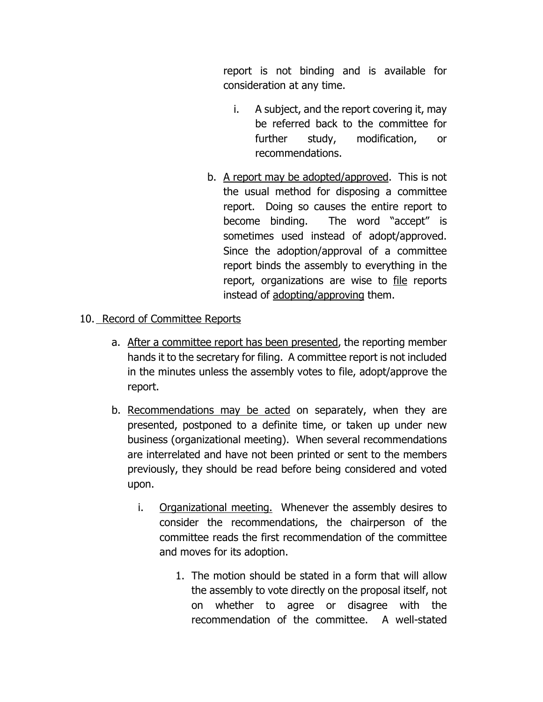report is not binding and is available for consideration at any time.

- i. A subject, and the report covering it, may be referred back to the committee for further study, modification, or recommendations.
- b. A report may be adopted/approved. This is not the usual method for disposing a committee report. Doing so causes the entire report to become binding. The word "accept" is sometimes used instead of adopt/approved. Since the adoption/approval of a committee report binds the assembly to everything in the report, organizations are wise to file reports instead of adopting/approving them.

# 10. Record of Committee Reports

- a. After a committee report has been presented, the reporting member hands it to the secretary for filing. A committee report is not included in the minutes unless the assembly votes to file, adopt/approve the report.
- b. Recommendations may be acted on separately, when they are presented, postponed to a definite time, or taken up under new business (organizational meeting). When several recommendations are interrelated and have not been printed or sent to the members previously, they should be read before being considered and voted upon.
	- i. Organizational meeting. Whenever the assembly desires to consider the recommendations, the chairperson of the committee reads the first recommendation of the committee and moves for its adoption.
		- 1. The motion should be stated in a form that will allow the assembly to vote directly on the proposal itself, not on whether to agree or disagree with the recommendation of the committee. A well-stated